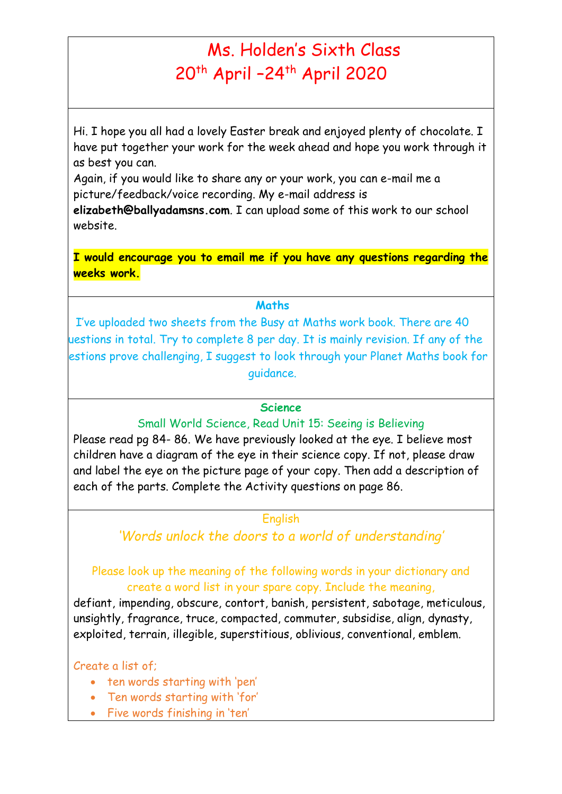# Ms. Holden's Sixth Class 20<sup>th</sup> April -24<sup>th</sup> April 2020

Hi. I hope you all had a lovely Easter break and enjoyed plenty of chocolate. I have put together your work for the week ahead and hope you work through it as best you can.

Again, if you would like to share any or your work, you can e-mail me a picture/feedback/voice recording. My e-mail address is

**elizabeth@ballyadamsns.com**. I can upload some of this work to our school website.

**I would encourage you to email me if you have any questions regarding the weeks work.**

#### **Maths**

I've uploaded two sheets from the Busy at Maths work book. There are 40 questions in total. Try to complete 8 per day. It is mainly revision. If any of the estions prove challenging, I suggest to look through your Planet Maths book for guidance.

#### **Science**

Small World Science, Read Unit 15: Seeing is Believing

Please read pg 84- 86. We have previously looked at the eye. I believe most children have a diagram of the eye in their science copy. If not, please draw and label the eye on the picture page of your copy. Then add a description of each of the parts. Complete the Activity questions on page 86.

### English

*'Words unlock the doors to a world of understanding'*

## Please look up the meaning of the following words in your dictionary and create a word list in your spare copy. Include the meaning,

defiant, impending, obscure, contort, banish, persistent, sabotage, meticulous, unsightly, fragrance, truce, compacted, commuter, subsidise, align, dynasty, exploited, terrain, illegible, superstitious, oblivious, conventional, emblem.

### Create a list of;

- ten words starting with 'pen'
- Ten words starting with 'for'
- Five words finishing in 'ten'